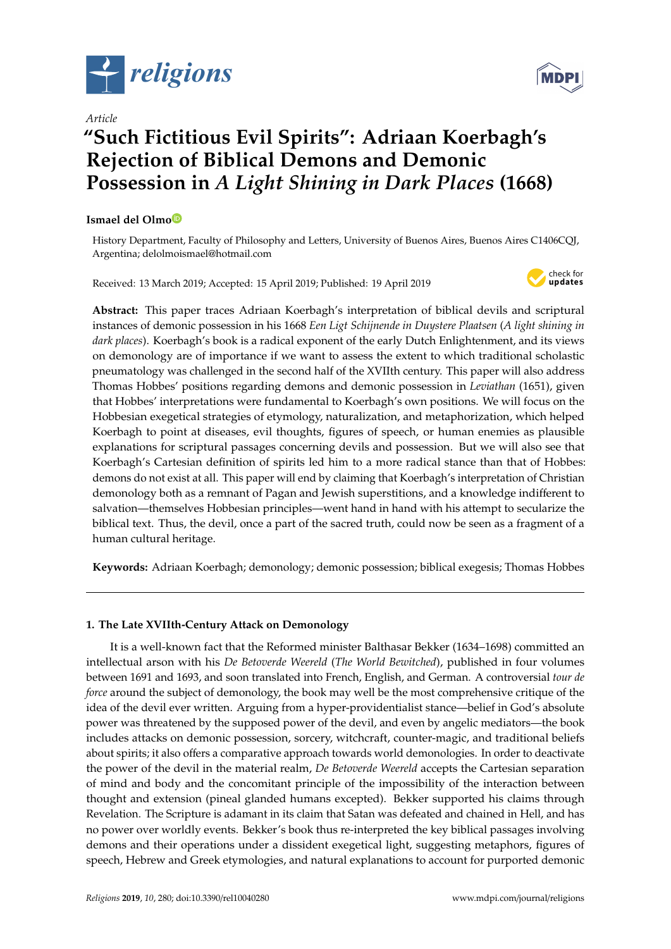

*Article*

# **"Such Fictitious Evil Spirits": Adriaan Koerbagh's Rejection of Biblical Demons and Demonic Possession in** *A Light Shining in Dark Places* **(1668)**

## **Ismael del Olm[o](https://orcid.org/0000-0003-2935-8068)**

History Department, Faculty of Philosophy and Letters, University of Buenos Aires, Buenos Aires C1406CQJ, Argentina; delolmoismael@hotmail.com

Received: 13 March 2019; Accepted: 15 April 2019; Published: 19 April 2019



**Abstract:** This paper traces Adriaan Koerbagh's interpretation of biblical devils and scriptural instances of demonic possession in his 1668 *Een Ligt Schijnende in Duystere Plaatsen* (*A light shining in dark places*). Koerbagh's book is a radical exponent of the early Dutch Enlightenment, and its views on demonology are of importance if we want to assess the extent to which traditional scholastic pneumatology was challenged in the second half of the XVIIth century. This paper will also address Thomas Hobbes' positions regarding demons and demonic possession in *Leviathan* (1651), given that Hobbes' interpretations were fundamental to Koerbagh's own positions. We will focus on the Hobbesian exegetical strategies of etymology, naturalization, and metaphorization, which helped Koerbagh to point at diseases, evil thoughts, figures of speech, or human enemies as plausible explanations for scriptural passages concerning devils and possession. But we will also see that Koerbagh's Cartesian definition of spirits led him to a more radical stance than that of Hobbes: demons do not exist at all. This paper will end by claiming that Koerbagh's interpretation of Christian demonology both as a remnant of Pagan and Jewish superstitions, and a knowledge indifferent to salvation—themselves Hobbesian principles—went hand in hand with his attempt to secularize the biblical text. Thus, the devil, once a part of the sacred truth, could now be seen as a fragment of a human cultural heritage.

**Keywords:** Adriaan Koerbagh; demonology; demonic possession; biblical exegesis; Thomas Hobbes

# **1. The Late XVIIth-Century Attack on Demonology**

It is a well-known fact that the Reformed minister Balthasar Bekker (1634–1698) committed an intellectual arson with his *De Betoverde Weereld* (*The World Bewitched*), published in four volumes between 1691 and 1693, and soon translated into French, English, and German. A controversial *tour de force* around the subject of demonology, the book may well be the most comprehensive critique of the idea of the devil ever written. Arguing from a hyper-providentialist stance—belief in God's absolute power was threatened by the supposed power of the devil, and even by angelic mediators—the book includes attacks on demonic possession, sorcery, witchcraft, counter-magic, and traditional beliefs about spirits; it also offers a comparative approach towards world demonologies. In order to deactivate the power of the devil in the material realm, *De Betoverde Weereld* accepts the Cartesian separation of mind and body and the concomitant principle of the impossibility of the interaction between thought and extension (pineal glanded humans excepted). Bekker supported his claims through Revelation. The Scripture is adamant in its claim that Satan was defeated and chained in Hell, and has no power over worldly events. Bekker's book thus re-interpreted the key biblical passages involving demons and their operations under a dissident exegetical light, suggesting metaphors, figures of speech, Hebrew and Greek etymologies, and natural explanations to account for purported demonic

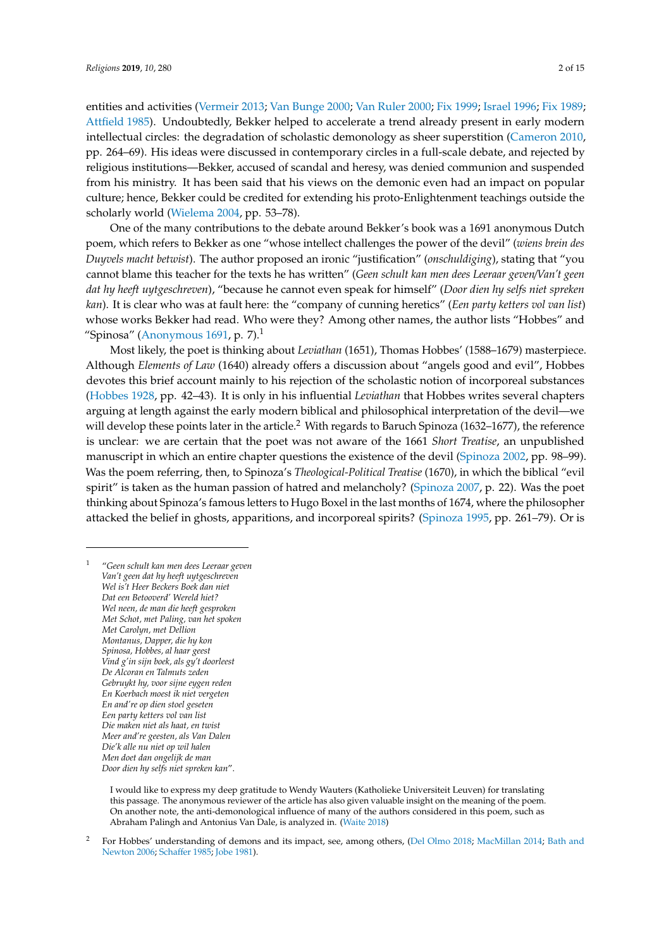entities and activities [\(Vermeir](#page-14-0) [2013;](#page-14-0) [Van Bunge](#page-14-1) [2000;](#page-14-1) [Van Ruler](#page-14-2) [2000;](#page-14-2) [Fix](#page-13-0) [1999;](#page-13-0) [Israel](#page-13-1) [1996;](#page-13-1) [Fix](#page-13-2) [1989;](#page-13-2) [Attfield](#page-13-3) [1985\)](#page-13-3). Undoubtedly, Bekker helped to accelerate a trend already present in early modern intellectual circles: the degradation of scholastic demonology as sheer superstition [\(Cameron](#page-13-4) [2010,](#page-13-4) pp. 264–69). His ideas were discussed in contemporary circles in a full-scale debate, and rejected by religious institutions—Bekker, accused of scandal and heresy, was denied communion and suspended from his ministry. It has been said that his views on the demonic even had an impact on popular culture; hence, Bekker could be credited for extending his proto-Enlightenment teachings outside the scholarly world [\(Wielema](#page-14-3) [2004,](#page-14-3) pp. 53–78).

One of the many contributions to the debate around Bekker's book was a 1691 anonymous Dutch poem, which refers to Bekker as one "whose intellect challenges the power of the devil" (*wiens brein des Duyvels macht betwist*). The author proposed an ironic "justification" (*onschuldiging*), stating that "you cannot blame this teacher for the texts he has written" (*Geen schult kan men dees Leeraar geven*/*Van't geen dat hy heeft uytgeschreven*), "because he cannot even speak for himself" (*Door dien hy selfs niet spreken kan*). It is clear who was at fault here: the "company of cunning heretics" (*Een party ketters vol van list*) whose works Bekker had read. Who were they? Among other names, the author lists "Hobbes" and "Spinosa" [\(Anonymous](#page-13-5) [1691,](#page-13-5) p. 7). $<sup>1</sup>$ </sup>

Most likely, the poet is thinking about *Leviathan* (1651), Thomas Hobbes' (1588–1679) masterpiece. Although *Elements of Law* (1640) already offers a discussion about "angels good and evil", Hobbes devotes this brief account mainly to his rejection of the scholastic notion of incorporeal substances [\(Hobbes](#page-13-6) [1928,](#page-13-6) pp. 42–43). It is only in his influential *Leviathan* that Hobbes writes several chapters arguing at length against the early modern biblical and philosophical interpretation of the devil—we will develop these points later in the article.<sup>2</sup> With regards to Baruch Spinoza (1632–1677), the reference is unclear: we are certain that the poet was not aware of the 1661 *Short Treatise*, an unpublished manuscript in which an entire chapter questions the existence of the devil [\(Spinoza](#page-13-7) [2002,](#page-13-7) pp. 98–99). Was the poem referring, then, to Spinoza's *Theological-Political Treatise* (1670), in which the biblical "evil spirit" is taken as the human passion of hatred and melancholy? [\(Spinoza](#page-13-8) [2007,](#page-13-8) p. 22). Was the poet thinking about Spinoza's famous letters to Hugo Boxel in the last months of 1674, where the philosopher attacked the belief in ghosts, apparitions, and incorporeal spirits? [\(Spinoza](#page-13-9) [1995,](#page-13-9) pp. 261–79). Or is

<sup>1</sup> "*Geen schult kan men dees Leeraar geven Van't geen dat hy heeft uytgeschreven Wel is't Heer Beckers Boek dan niet Dat een Betooverd' Wereld hiet? Wel neen, de man die heeft gesproken Met Schot, met Paling, van het spoken Met Carolyn, met Dellion Montanus, Dapper, die hy kon Spinosa, Hobbes, al haar geest Vind g'in sijn boek, als gy't doorleest De Alcoran en Talmuts zeden Gebruykt hy, voor sijne eygen reden En Koerbach moest ik niet vergeten En and're op dien stoel geseten Een party ketters vol van list Die maken niet als haat, en twist Meer and're geesten, als Van Dalen Die'k alle nu niet op wil halen Men doet dan ongelijk de man Door dien hy selfs niet spreken kan*".

> I would like to express my deep gratitude to Wendy Wauters (Katholieke Universiteit Leuven) for translating this passage. The anonymous reviewer of the article has also given valuable insight on the meaning of the poem. On another note, the anti-demonological influence of many of the authors considered in this poem, such as Abraham Palingh and Antonius Van Dale, is analyzed in. [\(Waite](#page-14-4) [2018\)](#page-14-4)

<sup>2</sup> For Hobbes' understanding of demons and its impact, see, among others, [\(Del Olmo](#page-13-10) [2018;](#page-13-10) [MacMillan](#page-13-11) [2014;](#page-13-11) [Bath and](#page-13-12) [Newton](#page-13-12) [2006;](#page-13-12) [Scha](#page-13-13)ffer [1985;](#page-13-13) [Jobe](#page-13-14) [1981\)](#page-13-14).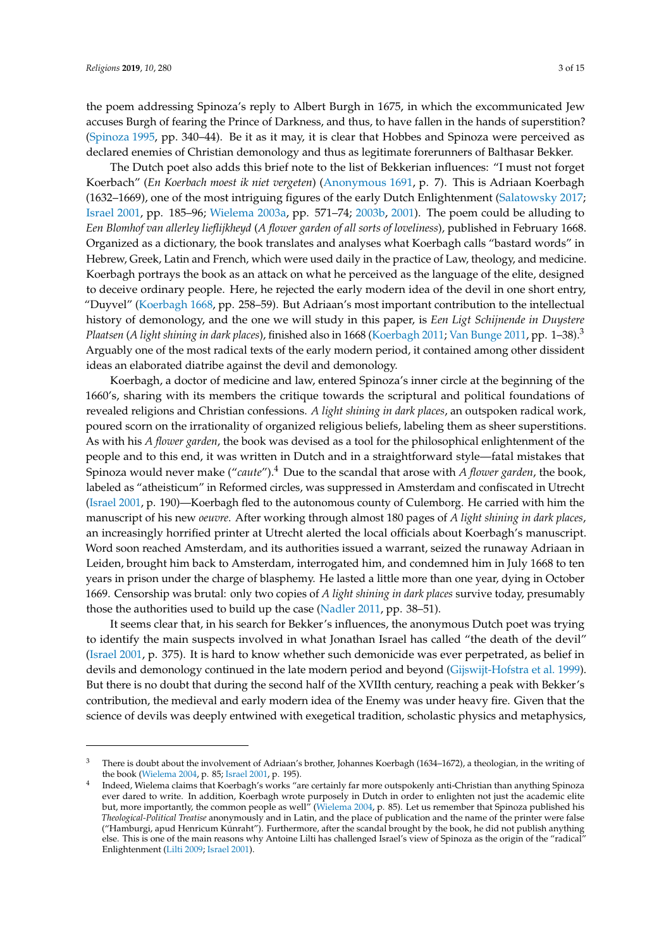the poem addressing Spinoza's reply to Albert Burgh in 1675, in which the excommunicated Jew accuses Burgh of fearing the Prince of Darkness, and thus, to have fallen in the hands of superstition? [\(Spinoza](#page-13-9) [1995,](#page-13-9) pp. 340–44). Be it as it may, it is clear that Hobbes and Spinoza were perceived as declared enemies of Christian demonology and thus as legitimate forerunners of Balthasar Bekker.

The Dutch poet also adds this brief note to the list of Bekkerian influences: "I must not forget Koerbach" (*En Koerbach moest ik niet vergeten*) [\(Anonymous](#page-13-5) [1691,](#page-13-5) p. 7). This is Adriaan Koerbagh (1632–1669), one of the most intriguing figures of the early Dutch Enlightenment [\(Salatowsky](#page-13-15) [2017;](#page-13-15) [Israel](#page-13-16) [2001,](#page-13-16) pp. 185–96; [Wielema](#page-14-5) [2003a,](#page-14-5) pp. 571–74; [2003b,](#page-14-6) [2001\)](#page-14-7). The poem could be alluding to *Een Blomhof van allerley lieflijkheyd* (*A flower garden of all sorts of loveliness*), published in February 1668. Organized as a dictionary, the book translates and analyses what Koerbagh calls "bastard words" in Hebrew, Greek, Latin and French, which were used daily in the practice of Law, theology, and medicine. Koerbagh portrays the book as an attack on what he perceived as the language of the elite, designed to deceive ordinary people. Here, he rejected the early modern idea of the devil in one short entry, "Duyvel" [\(Koerbagh](#page-13-17) [1668,](#page-13-17) pp. 258–59). But Adriaan's most important contribution to the intellectual history of demonology, and the one we will study in this paper, is *Een Ligt Schijnende in Duystere Plaatsen* (*A light shining in dark places*), finished also in 1668 [\(Koerbagh](#page-13-18) [2011;](#page-13-18) [Van Bunge](#page-14-8) [2011,](#page-14-8) pp. 1–38).<sup>3</sup> Arguably one of the most radical texts of the early modern period, it contained among other dissident ideas an elaborated diatribe against the devil and demonology.

Koerbagh, a doctor of medicine and law, entered Spinoza's inner circle at the beginning of the 1660's, sharing with its members the critique towards the scriptural and political foundations of revealed religions and Christian confessions. *A light shining in dark places*, an outspoken radical work, poured scorn on the irrationality of organized religious beliefs, labeling them as sheer superstitions. As with his *A flower garden*, the book was devised as a tool for the philosophical enlightenment of the people and to this end, it was written in Dutch and in a straightforward style—fatal mistakes that Spinoza would never make ("*caute*").<sup>4</sup> Due to the scandal that arose with *A flower garden*, the book, labeled as "atheisticum" in Reformed circles, was suppressed in Amsterdam and confiscated in Utrecht [\(Israel](#page-13-16) [2001,](#page-13-16) p. 190)—Koerbagh fled to the autonomous county of Culemborg. He carried with him the manuscript of his new *oeuvre*. After working through almost 180 pages of *A light shining in dark places*, an increasingly horrified printer at Utrecht alerted the local officials about Koerbagh's manuscript. Word soon reached Amsterdam, and its authorities issued a warrant, seized the runaway Adriaan in Leiden, brought him back to Amsterdam, interrogated him, and condemned him in July 1668 to ten years in prison under the charge of blasphemy. He lasted a little more than one year, dying in October 1669. Censorship was brutal: only two copies of *A light shining in dark places* survive today, presumably those the authorities used to build up the case [\(Nadler](#page-13-19) [2011,](#page-13-19) pp. 38–51).

It seems clear that, in his search for Bekker's influences, the anonymous Dutch poet was trying to identify the main suspects involved in what Jonathan Israel has called "the death of the devil" [\(Israel](#page-13-16) [2001,](#page-13-16) p. 375). It is hard to know whether such demonicide was ever perpetrated, as belief in devils and demonology continued in the late modern period and beyond [\(Gijswijt-Hofstra et al.](#page-13-20) [1999\)](#page-13-20). But there is no doubt that during the second half of the XVIIth century, reaching a peak with Bekker's contribution, the medieval and early modern idea of the Enemy was under heavy fire. Given that the science of devils was deeply entwined with exegetical tradition, scholastic physics and metaphysics,

<sup>&</sup>lt;sup>3</sup> There is doubt about the involvement of Adriaan's brother, Johannes Koerbagh (1634–1672), a theologian, in the writing of the book [\(Wielema](#page-14-3) [2004,](#page-14-3) p. 85; [Israel](#page-13-16) [2001,](#page-13-16) p. 195).

<sup>4</sup> Indeed, Wielema claims that Koerbagh's works "are certainly far more outspokenly anti-Christian than anything Spinoza ever dared to write. In addition, Koerbagh wrote purposely in Dutch in order to enlighten not just the academic elite but, more importantly, the common people as well" [\(Wielema](#page-14-3) [2004,](#page-14-3) p. 85). Let us remember that Spinoza published his *Theological-Political Treatise* anonymously and in Latin, and the place of publication and the name of the printer were false ("Hamburgi, apud Henricum Künraht"). Furthermore, after the scandal brought by the book, he did not publish anything else. This is one of the main reasons why Antoine Lilti has challenged Israel's view of Spinoza as the origin of the "radical" Enlightenment [\(Lilti](#page-13-21) [2009;](#page-13-21) [Israel](#page-13-16) [2001\)](#page-13-16).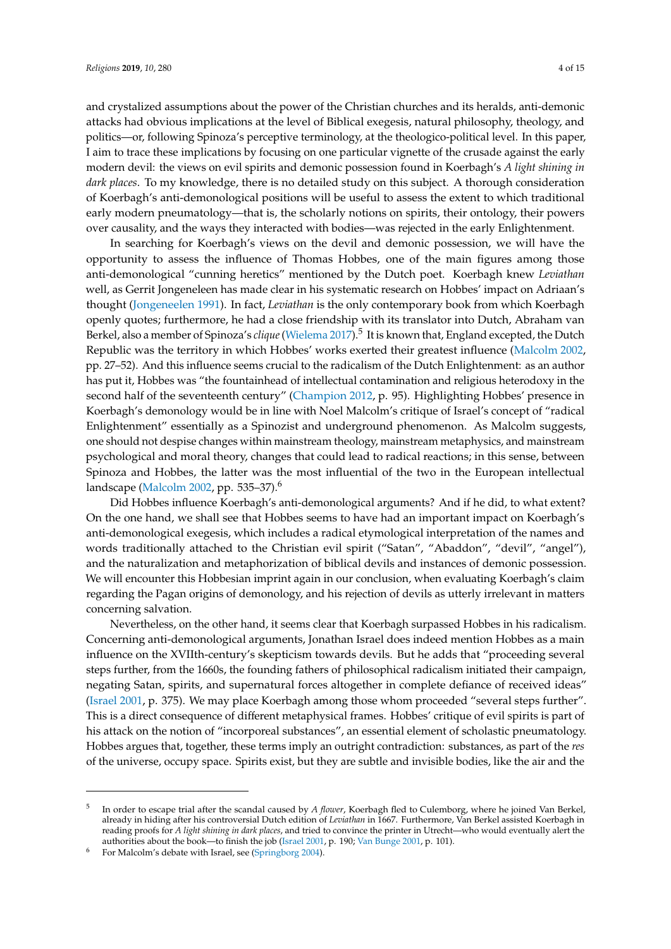and crystalized assumptions about the power of the Christian churches and its heralds, anti-demonic attacks had obvious implications at the level of Biblical exegesis, natural philosophy, theology, and politics—or, following Spinoza's perceptive terminology, at the theologico-political level. In this paper, I aim to trace these implications by focusing on one particular vignette of the crusade against the early modern devil: the views on evil spirits and demonic possession found in Koerbagh's *A light shining in dark places*. To my knowledge, there is no detailed study on this subject. A thorough consideration of Koerbagh's anti-demonological positions will be useful to assess the extent to which traditional early modern pneumatology—that is, the scholarly notions on spirits, their ontology, their powers over causality, and the ways they interacted with bodies—was rejected in the early Enlightenment.

In searching for Koerbagh's views on the devil and demonic possession, we will have the opportunity to assess the influence of Thomas Hobbes, one of the main figures among those anti-demonological "cunning heretics" mentioned by the Dutch poet. Koerbagh knew *Leviathan* well, as Gerrit Jongeneleen has made clear in his systematic research on Hobbes' impact on Adriaan's thought [\(Jongeneelen](#page-13-22) [1991\)](#page-13-22). In fact, *Leviathan* is the only contemporary book from which Koerbagh openly quotes; furthermore, he had a close friendship with its translator into Dutch, Abraham van Berkel, also a member of Spinoza's *clique*[\(Wielema](#page-14-9) [2017\)](#page-14-9).<sup>5</sup> It is known that, England excepted, the Dutch Republic was the territory in which Hobbes' works exerted their greatest influence [\(Malcolm](#page-13-23) [2002,](#page-13-23) pp. 27–52). And this influence seems crucial to the radicalism of the Dutch Enlightenment: as an author has put it, Hobbes was "the fountainhead of intellectual contamination and religious heterodoxy in the second half of the seventeenth century" [\(Champion](#page-13-24) [2012,](#page-13-24) p. 95). Highlighting Hobbes' presence in Koerbagh's demonology would be in line with Noel Malcolm's critique of Israel's concept of "radical Enlightenment" essentially as a Spinozist and underground phenomenon. As Malcolm suggests, one should not despise changes within mainstream theology, mainstream metaphysics, and mainstream psychological and moral theory, changes that could lead to radical reactions; in this sense, between Spinoza and Hobbes, the latter was the most influential of the two in the European intellectual landscape [\(Malcolm](#page-13-23) [2002,](#page-13-23) pp. 535–37).<sup>6</sup>

Did Hobbes influence Koerbagh's anti-demonological arguments? And if he did, to what extent? On the one hand, we shall see that Hobbes seems to have had an important impact on Koerbagh's anti-demonological exegesis, which includes a radical etymological interpretation of the names and words traditionally attached to the Christian evil spirit ("Satan", "Abaddon", "devil", "angel"), and the naturalization and metaphorization of biblical devils and instances of demonic possession. We will encounter this Hobbesian imprint again in our conclusion, when evaluating Koerbagh's claim regarding the Pagan origins of demonology, and his rejection of devils as utterly irrelevant in matters concerning salvation.

Nevertheless, on the other hand, it seems clear that Koerbagh surpassed Hobbes in his radicalism. Concerning anti-demonological arguments, Jonathan Israel does indeed mention Hobbes as a main influence on the XVIIth-century's skepticism towards devils. But he adds that "proceeding several steps further, from the 1660s, the founding fathers of philosophical radicalism initiated their campaign, negating Satan, spirits, and supernatural forces altogether in complete defiance of received ideas" [\(Israel](#page-13-16) [2001,](#page-13-16) p. 375). We may place Koerbagh among those whom proceeded "several steps further". This is a direct consequence of different metaphysical frames. Hobbes' critique of evil spirits is part of his attack on the notion of "incorporeal substances", an essential element of scholastic pneumatology. Hobbes argues that, together, these terms imply an outright contradiction: substances, as part of the *res* of the universe, occupy space. Spirits exist, but they are subtle and invisible bodies, like the air and the

<sup>5</sup> In order to escape trial after the scandal caused by *A flower*, Koerbagh fled to Culemborg, where he joined Van Berkel, already in hiding after his controversial Dutch edition of *Leviathan* in 1667. Furthermore, Van Berkel assisted Koerbagh in reading proofs for *A light shining in dark places*, and tried to convince the printer in Utrecht—who would eventually alert the authorities about the book—to finish the job [\(Israel](#page-13-16) [2001,](#page-13-16) p. 190; [Van Bunge](#page-14-10) [2001,](#page-14-10) p. 101).

For Malcolm's debate with Israel, see [\(Springborg](#page-13-25) [2004\)](#page-13-25).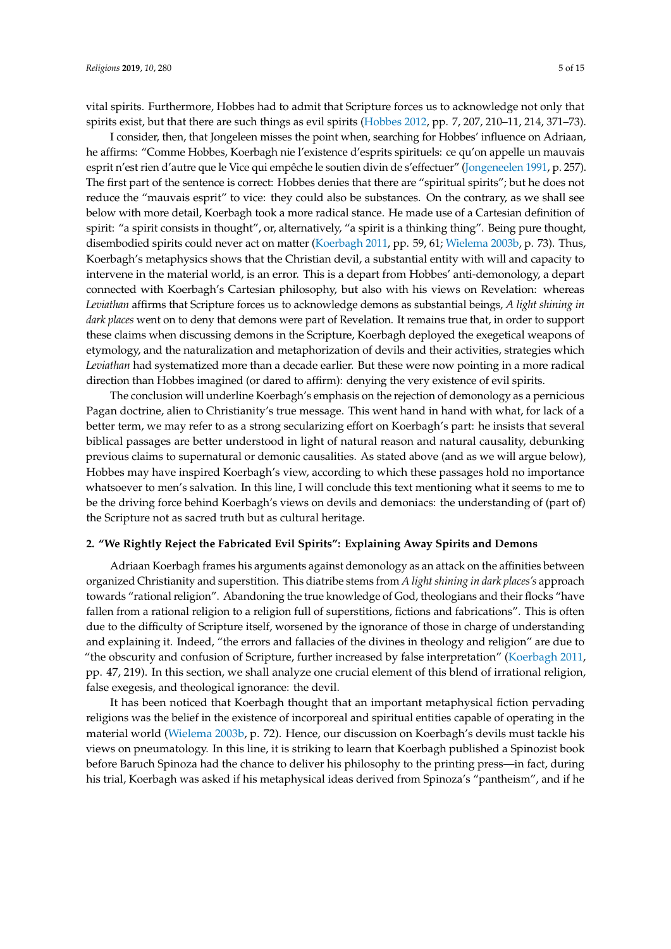vital spirits. Furthermore, Hobbes had to admit that Scripture forces us to acknowledge not only that spirits exist, but that there are such things as evil spirits [\(Hobbes](#page-13-26) [2012,](#page-13-26) pp. 7, 207, 210–11, 214, 371–73).

I consider, then, that Jongeleen misses the point when, searching for Hobbes' influence on Adriaan, he affirms: "Comme Hobbes, Koerbagh nie l'existence d'esprits spirituels: ce qu'on appelle un mauvais esprit n'est rien d'autre que le Vice qui empêche le soutien divin de s'effectuer" [\(Jongeneelen](#page-13-22) [1991,](#page-13-22) p. 257). The first part of the sentence is correct: Hobbes denies that there are "spiritual spirits"; but he does not reduce the "mauvais esprit" to vice: they could also be substances. On the contrary, as we shall see below with more detail, Koerbagh took a more radical stance. He made use of a Cartesian definition of spirit: "a spirit consists in thought", or, alternatively, "a spirit is a thinking thing". Being pure thought, disembodied spirits could never act on matter [\(Koerbagh](#page-13-18) [2011,](#page-13-18) pp. 59, 61; [Wielema](#page-14-6) [2003b,](#page-14-6) p. 73). Thus, Koerbagh's metaphysics shows that the Christian devil, a substantial entity with will and capacity to intervene in the material world, is an error. This is a depart from Hobbes' anti-demonology, a depart connected with Koerbagh's Cartesian philosophy, but also with his views on Revelation: whereas *Leviathan* affirms that Scripture forces us to acknowledge demons as substantial beings, *A light shining in dark places* went on to deny that demons were part of Revelation. It remains true that, in order to support these claims when discussing demons in the Scripture, Koerbagh deployed the exegetical weapons of etymology, and the naturalization and metaphorization of devils and their activities, strategies which *Leviathan* had systematized more than a decade earlier. But these were now pointing in a more radical direction than Hobbes imagined (or dared to affirm): denying the very existence of evil spirits.

The conclusion will underline Koerbagh's emphasis on the rejection of demonology as a pernicious Pagan doctrine, alien to Christianity's true message. This went hand in hand with what, for lack of a better term, we may refer to as a strong secularizing effort on Koerbagh's part: he insists that several biblical passages are better understood in light of natural reason and natural causality, debunking previous claims to supernatural or demonic causalities. As stated above (and as we will argue below), Hobbes may have inspired Koerbagh's view, according to which these passages hold no importance whatsoever to men's salvation. In this line, I will conclude this text mentioning what it seems to me to be the driving force behind Koerbagh's views on devils and demoniacs: the understanding of (part of) the Scripture not as sacred truth but as cultural heritage.

#### **2. "We Rightly Reject the Fabricated Evil Spirits": Explaining Away Spirits and Demons**

Adriaan Koerbagh frames his arguments against demonology as an attack on the affinities between organized Christianity and superstition. This diatribe stems from *A light shining in dark places's* approach towards "rational religion". Abandoning the true knowledge of God, theologians and their flocks "have fallen from a rational religion to a religion full of superstitions, fictions and fabrications". This is often due to the difficulty of Scripture itself, worsened by the ignorance of those in charge of understanding and explaining it. Indeed, "the errors and fallacies of the divines in theology and religion" are due to "the obscurity and confusion of Scripture, further increased by false interpretation" [\(Koerbagh](#page-13-18) [2011,](#page-13-18) pp. 47, 219). In this section, we shall analyze one crucial element of this blend of irrational religion, false exegesis, and theological ignorance: the devil.

It has been noticed that Koerbagh thought that an important metaphysical fiction pervading religions was the belief in the existence of incorporeal and spiritual entities capable of operating in the material world [\(Wielema](#page-14-6) [2003b,](#page-14-6) p. 72). Hence, our discussion on Koerbagh's devils must tackle his views on pneumatology. In this line, it is striking to learn that Koerbagh published a Spinozist book before Baruch Spinoza had the chance to deliver his philosophy to the printing press—in fact, during his trial, Koerbagh was asked if his metaphysical ideas derived from Spinoza's "pantheism", and if he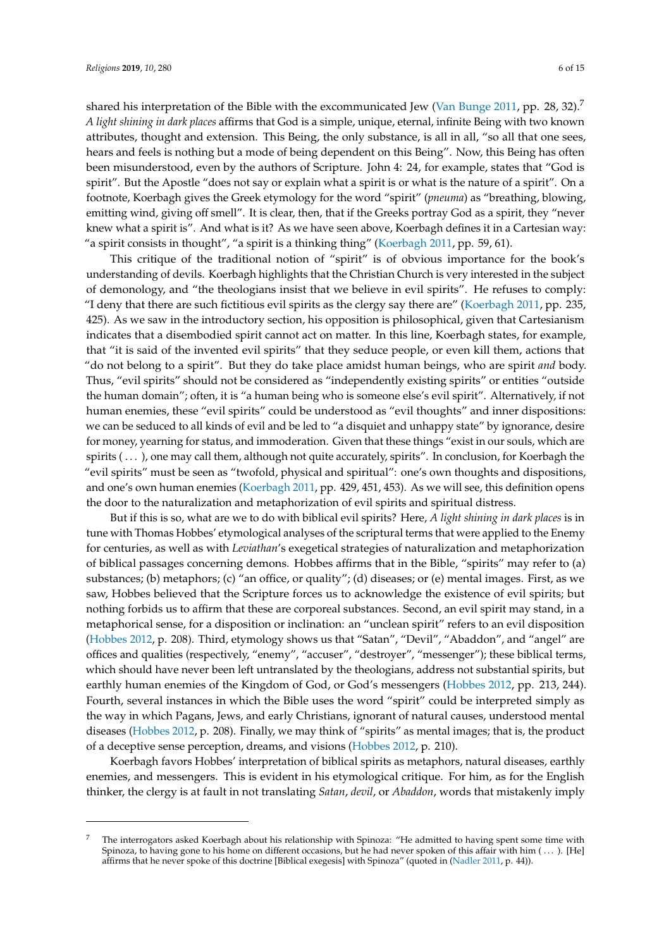shared his interpretation of the Bible with the excommunicated Jew [\(Van Bunge](#page-14-8) [2011,](#page-14-8) pp. 28, 32).<sup>7</sup> *A light shining in dark places* affirms that God is a simple, unique, eternal, infinite Being with two known attributes, thought and extension. This Being, the only substance, is all in all, "so all that one sees, hears and feels is nothing but a mode of being dependent on this Being". Now, this Being has often been misunderstood, even by the authors of Scripture. John 4: 24, for example, states that "God is spirit". But the Apostle "does not say or explain what a spirit is or what is the nature of a spirit". On a footnote, Koerbagh gives the Greek etymology for the word "spirit" (*pneuma*) as "breathing, blowing, emitting wind, giving off smell". It is clear, then, that if the Greeks portray God as a spirit, they "never knew what a spirit is". And what is it? As we have seen above, Koerbagh defines it in a Cartesian way: "a spirit consists in thought", "a spirit is a thinking thing" [\(Koerbagh](#page-13-18) [2011,](#page-13-18) pp. 59, 61).

This critique of the traditional notion of "spirit" is of obvious importance for the book's understanding of devils. Koerbagh highlights that the Christian Church is very interested in the subject of demonology, and "the theologians insist that we believe in evil spirits". He refuses to comply: "I deny that there are such fictitious evil spirits as the clergy say there are" [\(Koerbagh](#page-13-18) [2011,](#page-13-18) pp. 235, 425). As we saw in the introductory section, his opposition is philosophical, given that Cartesianism indicates that a disembodied spirit cannot act on matter. In this line, Koerbagh states, for example, that "it is said of the invented evil spirits" that they seduce people, or even kill them, actions that "do not belong to a spirit". But they do take place amidst human beings, who are spirit *and* body. Thus, "evil spirits" should not be considered as "independently existing spirits" or entities "outside the human domain"; often, it is "a human being who is someone else's evil spirit". Alternatively, if not human enemies, these "evil spirits" could be understood as "evil thoughts" and inner dispositions: we can be seduced to all kinds of evil and be led to "a disquiet and unhappy state" by ignorance, desire for money, yearning for status, and immoderation. Given that these things "exist in our souls, which are spirits (...), one may call them, although not quite accurately, spirits". In conclusion, for Koerbagh the "evil spirits" must be seen as "twofold, physical and spiritual": one's own thoughts and dispositions, and one's own human enemies [\(Koerbagh](#page-13-18) [2011,](#page-13-18) pp. 429, 451, 453). As we will see, this definition opens the door to the naturalization and metaphorization of evil spirits and spiritual distress.

But if this is so, what are we to do with biblical evil spirits? Here, *A light shining in dark places* is in tune with Thomas Hobbes' etymological analyses of the scriptural terms that were applied to the Enemy for centuries, as well as with *Leviathan*'s exegetical strategies of naturalization and metaphorization of biblical passages concerning demons. Hobbes affirms that in the Bible, "spirits" may refer to (a) substances; (b) metaphors; (c) "an office, or quality"; (d) diseases; or (e) mental images. First, as we saw, Hobbes believed that the Scripture forces us to acknowledge the existence of evil spirits; but nothing forbids us to affirm that these are corporeal substances. Second, an evil spirit may stand, in a metaphorical sense, for a disposition or inclination: an "unclean spirit" refers to an evil disposition [\(Hobbes](#page-13-26) [2012,](#page-13-26) p. 208). Third, etymology shows us that "Satan", "Devil", "Abaddon", and "angel" are offices and qualities (respectively, "enemy", "accuser", "destroyer", "messenger"); these biblical terms, which should have never been left untranslated by the theologians, address not substantial spirits, but earthly human enemies of the Kingdom of God, or God's messengers [\(Hobbes](#page-13-26) [2012,](#page-13-26) pp. 213, 244). Fourth, several instances in which the Bible uses the word "spirit" could be interpreted simply as the way in which Pagans, Jews, and early Christians, ignorant of natural causes, understood mental diseases [\(Hobbes](#page-13-26) [2012,](#page-13-26) p. 208). Finally, we may think of "spirits" as mental images; that is, the product of a deceptive sense perception, dreams, and visions [\(Hobbes](#page-13-26) [2012,](#page-13-26) p. 210).

Koerbagh favors Hobbes' interpretation of biblical spirits as metaphors, natural diseases, earthly enemies, and messengers. This is evident in his etymological critique. For him, as for the English thinker, the clergy is at fault in not translating *Satan*, *devil*, or *Abaddon*, words that mistakenly imply

<sup>7</sup> The interrogators asked Koerbagh about his relationship with Spinoza: "He admitted to having spent some time with Spinoza, to having gone to his home on different occasions, but he had never spoken of this affair with him  $(\dots)$ . [He] affirms that he never spoke of this doctrine [Biblical exegesis] with Spinoza" (quoted in [\(Nadler](#page-13-19) [2011,](#page-13-19) p. 44)).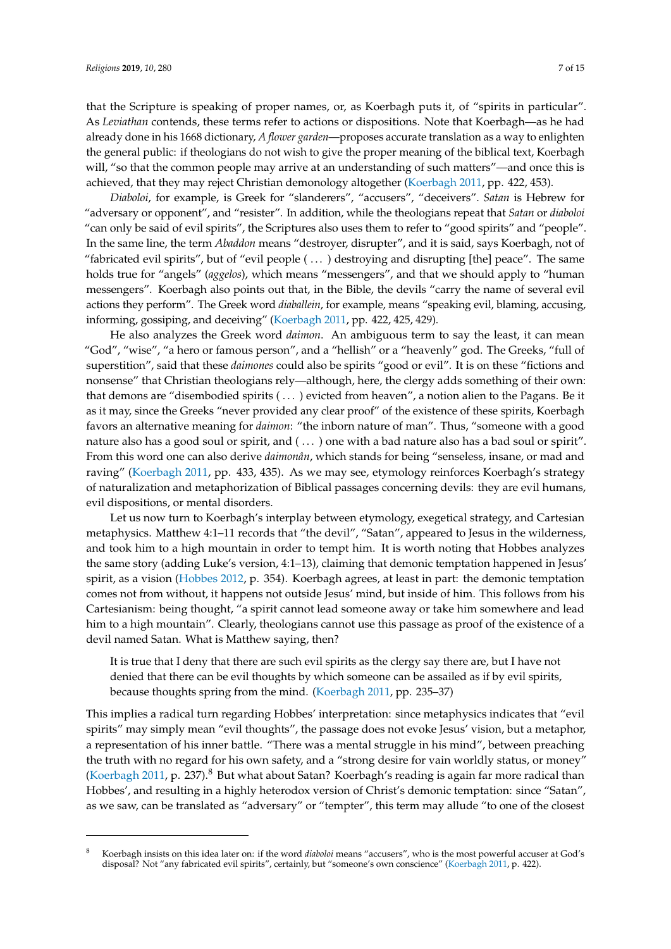that the Scripture is speaking of proper names, or, as Koerbagh puts it, of "spirits in particular". As *Leviathan* contends, these terms refer to actions or dispositions. Note that Koerbagh—as he had already done in his 1668 dictionary, *A flower garden*—proposes accurate translation as a way to enlighten the general public: if theologians do not wish to give the proper meaning of the biblical text, Koerbagh will, "so that the common people may arrive at an understanding of such matters"—and once this is achieved, that they may reject Christian demonology altogether [\(Koerbagh](#page-13-18) [2011,](#page-13-18) pp. 422, 453).

*Diaboloi*, for example, is Greek for "slanderers", "accusers", "deceivers". *Satan* is Hebrew for "adversary or opponent", and "resister". In addition, while the theologians repeat that *Satan* or *diaboloi* "can only be said of evil spirits", the Scriptures also uses them to refer to "good spirits" and "people". In the same line, the term *Abaddon* means "destroyer, disrupter", and it is said, says Koerbagh, not of "fabricated evil spirits", but of "evil people ( . . . ) destroying and disrupting [the] peace". The same holds true for "angels" (*aggelos*), which means "messengers", and that we should apply to "human messengers". Koerbagh also points out that, in the Bible, the devils "carry the name of several evil actions they perform". The Greek word *diaballein*, for example, means "speaking evil, blaming, accusing, informing, gossiping, and deceiving" [\(Koerbagh](#page-13-18) [2011,](#page-13-18) pp. 422, 425, 429).

He also analyzes the Greek word *daimon*. An ambiguous term to say the least, it can mean "God", "wise", "a hero or famous person", and a "hellish" or a "heavenly" god. The Greeks, "full of superstition", said that these *daimones* could also be spirits "good or evil". It is on these "fictions and nonsense" that Christian theologians rely—although, here, the clergy adds something of their own: that demons are "disembodied spirits ( . . . ) evicted from heaven", a notion alien to the Pagans. Be it as it may, since the Greeks "never provided any clear proof" of the existence of these spirits, Koerbagh favors an alternative meaning for *daimon*: "the inborn nature of man". Thus, "someone with a good nature also has a good soul or spirit, and ( . . . ) one with a bad nature also has a bad soul or spirit". From this word one can also derive *daimonân*, which stands for being "senseless, insane, or mad and raving" [\(Koerbagh](#page-13-18) [2011,](#page-13-18) pp. 433, 435). As we may see, etymology reinforces Koerbagh's strategy of naturalization and metaphorization of Biblical passages concerning devils: they are evil humans, evil dispositions, or mental disorders.

Let us now turn to Koerbagh's interplay between etymology, exegetical strategy, and Cartesian metaphysics. Matthew 4:1–11 records that "the devil", "Satan", appeared to Jesus in the wilderness, and took him to a high mountain in order to tempt him. It is worth noting that Hobbes analyzes the same story (adding Luke's version, 4:1–13), claiming that demonic temptation happened in Jesus' spirit, as a vision [\(Hobbes](#page-13-26) [2012,](#page-13-26) p. 354). Koerbagh agrees, at least in part: the demonic temptation comes not from without, it happens not outside Jesus' mind, but inside of him. This follows from his Cartesianism: being thought, "a spirit cannot lead someone away or take him somewhere and lead him to a high mountain". Clearly, theologians cannot use this passage as proof of the existence of a devil named Satan. What is Matthew saying, then?

It is true that I deny that there are such evil spirits as the clergy say there are, but I have not denied that there can be evil thoughts by which someone can be assailed as if by evil spirits, because thoughts spring from the mind. [\(Koerbagh](#page-13-18) [2011,](#page-13-18) pp. 235–37)

This implies a radical turn regarding Hobbes' interpretation: since metaphysics indicates that "evil spirits" may simply mean "evil thoughts", the passage does not evoke Jesus' vision, but a metaphor, a representation of his inner battle. "There was a mental struggle in his mind", between preaching the truth with no regard for his own safety, and a "strong desire for vain worldly status, or money" [\(Koerbagh](#page-13-18) [2011,](#page-13-18) p. 237).<sup>8</sup> But what about Satan? Koerbagh's reading is again far more radical than Hobbes', and resulting in a highly heterodox version of Christ's demonic temptation: since "Satan", as we saw, can be translated as "adversary" or "tempter", this term may allude "to one of the closest

<sup>8</sup> Koerbagh insists on this idea later on: if the word *diaboloi* means "accusers", who is the most powerful accuser at God's disposal? Not "any fabricated evil spirits", certainly, but "someone's own conscience" [\(Koerbagh](#page-13-18) [2011,](#page-13-18) p. 422).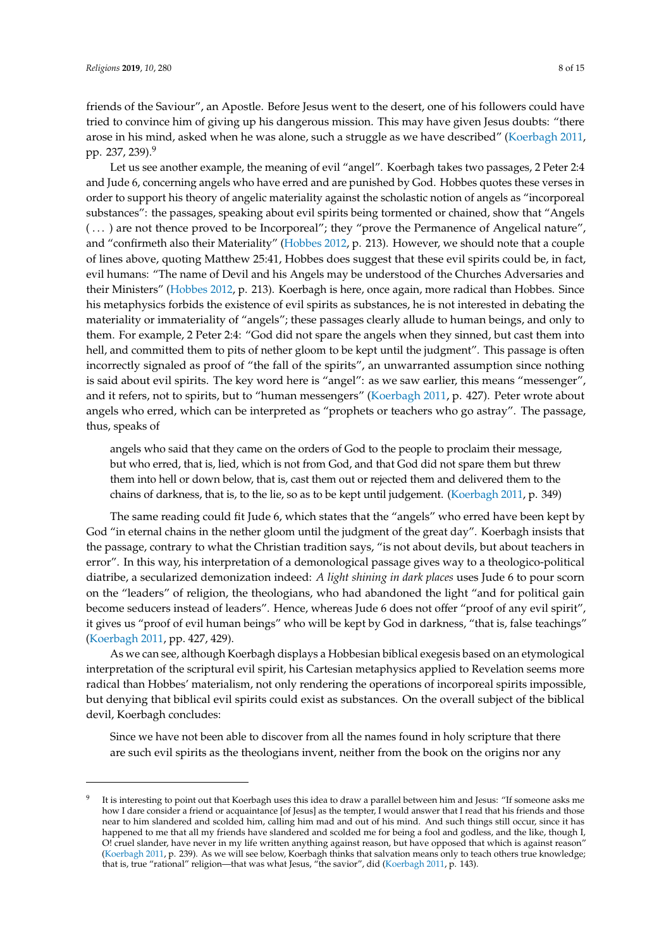friends of the Saviour", an Apostle. Before Jesus went to the desert, one of his followers could have tried to convince him of giving up his dangerous mission. This may have given Jesus doubts: "there arose in his mind, asked when he was alone, such a struggle as we have described" [\(Koerbagh](#page-13-18) [2011,](#page-13-18) pp. 237, 239).<sup>9</sup>

Let us see another example, the meaning of evil "angel". Koerbagh takes two passages, 2 Peter 2:4 and Jude 6, concerning angels who have erred and are punished by God. Hobbes quotes these verses in order to support his theory of angelic materiality against the scholastic notion of angels as "incorporeal substances": the passages, speaking about evil spirits being tormented or chained, show that "Angels (...) are not thence proved to be Incorporeal"; they "prove the Permanence of Angelical nature", and "confirmeth also their Materiality" [\(Hobbes](#page-13-26) [2012,](#page-13-26) p. 213). However, we should note that a couple of lines above, quoting Matthew 25:41, Hobbes does suggest that these evil spirits could be, in fact, evil humans: "The name of Devil and his Angels may be understood of the Churches Adversaries and their Ministers" [\(Hobbes](#page-13-26) [2012,](#page-13-26) p. 213). Koerbagh is here, once again, more radical than Hobbes. Since his metaphysics forbids the existence of evil spirits as substances, he is not interested in debating the materiality or immateriality of "angels"; these passages clearly allude to human beings, and only to them. For example, 2 Peter 2:4: "God did not spare the angels when they sinned, but cast them into hell, and committed them to pits of nether gloom to be kept until the judgment". This passage is often incorrectly signaled as proof of "the fall of the spirits", an unwarranted assumption since nothing is said about evil spirits. The key word here is "angel": as we saw earlier, this means "messenger", and it refers, not to spirits, but to "human messengers" [\(Koerbagh](#page-13-18) [2011,](#page-13-18) p. 427). Peter wrote about angels who erred, which can be interpreted as "prophets or teachers who go astray". The passage, thus, speaks of

angels who said that they came on the orders of God to the people to proclaim their message, but who erred, that is, lied, which is not from God, and that God did not spare them but threw them into hell or down below, that is, cast them out or rejected them and delivered them to the chains of darkness, that is, to the lie, so as to be kept until judgement. [\(Koerbagh](#page-13-18) [2011,](#page-13-18) p. 349)

The same reading could fit Jude 6, which states that the "angels" who erred have been kept by God "in eternal chains in the nether gloom until the judgment of the great day". Koerbagh insists that the passage, contrary to what the Christian tradition says, "is not about devils, but about teachers in error". In this way, his interpretation of a demonological passage gives way to a theologico-political diatribe, a secularized demonization indeed: *A light shining in dark places* uses Jude 6 to pour scorn on the "leaders" of religion, the theologians, who had abandoned the light "and for political gain become seducers instead of leaders". Hence, whereas Jude 6 does not offer "proof of any evil spirit", it gives us "proof of evil human beings" who will be kept by God in darkness, "that is, false teachings" [\(Koerbagh](#page-13-18) [2011,](#page-13-18) pp. 427, 429).

As we can see, although Koerbagh displays a Hobbesian biblical exegesis based on an etymological interpretation of the scriptural evil spirit, his Cartesian metaphysics applied to Revelation seems more radical than Hobbes' materialism, not only rendering the operations of incorporeal spirits impossible, but denying that biblical evil spirits could exist as substances. On the overall subject of the biblical devil, Koerbagh concludes:

Since we have not been able to discover from all the names found in holy scripture that there are such evil spirits as the theologians invent, neither from the book on the origins nor any

<sup>9</sup> It is interesting to point out that Koerbagh uses this idea to draw a parallel between him and Jesus: "If someone asks me how I dare consider a friend or acquaintance [of Jesus] as the tempter, I would answer that I read that his friends and those near to him slandered and scolded him, calling him mad and out of his mind. And such things still occur, since it has happened to me that all my friends have slandered and scolded me for being a fool and godless, and the like, though I, O! cruel slander, have never in my life written anything against reason, but have opposed that which is against reason" [\(Koerbagh](#page-13-18) [2011,](#page-13-18) p. 239). As we will see below, Koerbagh thinks that salvation means only to teach others true knowledge; that is, true "rational" religion—that was what Jesus, "the savior", did [\(Koerbagh](#page-13-18) [2011,](#page-13-18) p. 143).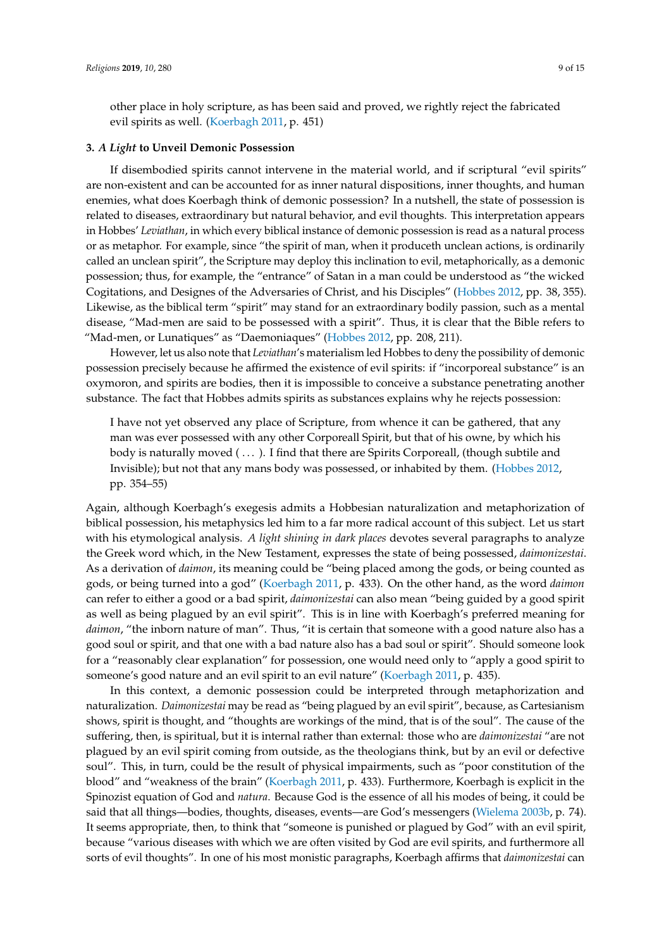other place in holy scripture, as has been said and proved, we rightly reject the fabricated evil spirits as well. [\(Koerbagh](#page-13-18) [2011,](#page-13-18) p. 451)

#### **3.** *A Light* **to Unveil Demonic Possession**

If disembodied spirits cannot intervene in the material world, and if scriptural "evil spirits" are non-existent and can be accounted for as inner natural dispositions, inner thoughts, and human enemies, what does Koerbagh think of demonic possession? In a nutshell, the state of possession is related to diseases, extraordinary but natural behavior, and evil thoughts. This interpretation appears in Hobbes' *Leviathan*, in which every biblical instance of demonic possession is read as a natural process or as metaphor. For example, since "the spirit of man, when it produceth unclean actions, is ordinarily called an unclean spirit", the Scripture may deploy this inclination to evil, metaphorically, as a demonic possession; thus, for example, the "entrance" of Satan in a man could be understood as "the wicked Cogitations, and Designes of the Adversaries of Christ, and his Disciples" [\(Hobbes](#page-13-26) [2012,](#page-13-26) pp. 38, 355). Likewise, as the biblical term "spirit" may stand for an extraordinary bodily passion, such as a mental disease, "Mad-men are said to be possessed with a spirit". Thus, it is clear that the Bible refers to "Mad-men, or Lunatiques" as "Daemoniaques" [\(Hobbes](#page-13-26) [2012,](#page-13-26) pp. 208, 211).

However, let us also note that *Leviathan*'s materialism led Hobbes to deny the possibility of demonic possession precisely because he affirmed the existence of evil spirits: if "incorporeal substance" is an oxymoron, and spirits are bodies, then it is impossible to conceive a substance penetrating another substance. The fact that Hobbes admits spirits as substances explains why he rejects possession:

I have not yet observed any place of Scripture, from whence it can be gathered, that any man was ever possessed with any other Corporeall Spirit, but that of his owne, by which his body is naturally moved (...). I find that there are Spirits Corporeall, (though subtile and Invisible); but not that any mans body was possessed, or inhabited by them. [\(Hobbes](#page-13-26) [2012,](#page-13-26) pp. 354–55)

Again, although Koerbagh's exegesis admits a Hobbesian naturalization and metaphorization of biblical possession, his metaphysics led him to a far more radical account of this subject. Let us start with his etymological analysis. *A light shining in dark places* devotes several paragraphs to analyze the Greek word which, in the New Testament, expresses the state of being possessed, *daimonizestai*. As a derivation of *daimon*, its meaning could be "being placed among the gods, or being counted as gods, or being turned into a god" [\(Koerbagh](#page-13-18) [2011,](#page-13-18) p. 433). On the other hand, as the word *daimon* can refer to either a good or a bad spirit, *daimonizestai* can also mean "being guided by a good spirit as well as being plagued by an evil spirit". This is in line with Koerbagh's preferred meaning for *daimon*, "the inborn nature of man". Thus, "it is certain that someone with a good nature also has a good soul or spirit, and that one with a bad nature also has a bad soul or spirit". Should someone look for a "reasonably clear explanation" for possession, one would need only to "apply a good spirit to someone's good nature and an evil spirit to an evil nature" [\(Koerbagh](#page-13-18) [2011,](#page-13-18) p. 435).

In this context, a demonic possession could be interpreted through metaphorization and naturalization. *Daimonizestai* may be read as "being plagued by an evil spirit", because, as Cartesianism shows, spirit is thought, and "thoughts are workings of the mind, that is of the soul". The cause of the suffering, then, is spiritual, but it is internal rather than external: those who are *daimonizestai* "are not plagued by an evil spirit coming from outside, as the theologians think, but by an evil or defective soul". This, in turn, could be the result of physical impairments, such as "poor constitution of the blood" and "weakness of the brain" [\(Koerbagh](#page-13-18) [2011,](#page-13-18) p. 433). Furthermore, Koerbagh is explicit in the Spinozist equation of God and *natura*. Because God is the essence of all his modes of being, it could be said that all things—bodies, thoughts, diseases, events—are God's messengers [\(Wielema](#page-14-6) [2003b,](#page-14-6) p. 74). It seems appropriate, then, to think that "someone is punished or plagued by God" with an evil spirit, because "various diseases with which we are often visited by God are evil spirits, and furthermore all sorts of evil thoughts". In one of his most monistic paragraphs, Koerbagh affirms that *daimonizestai* can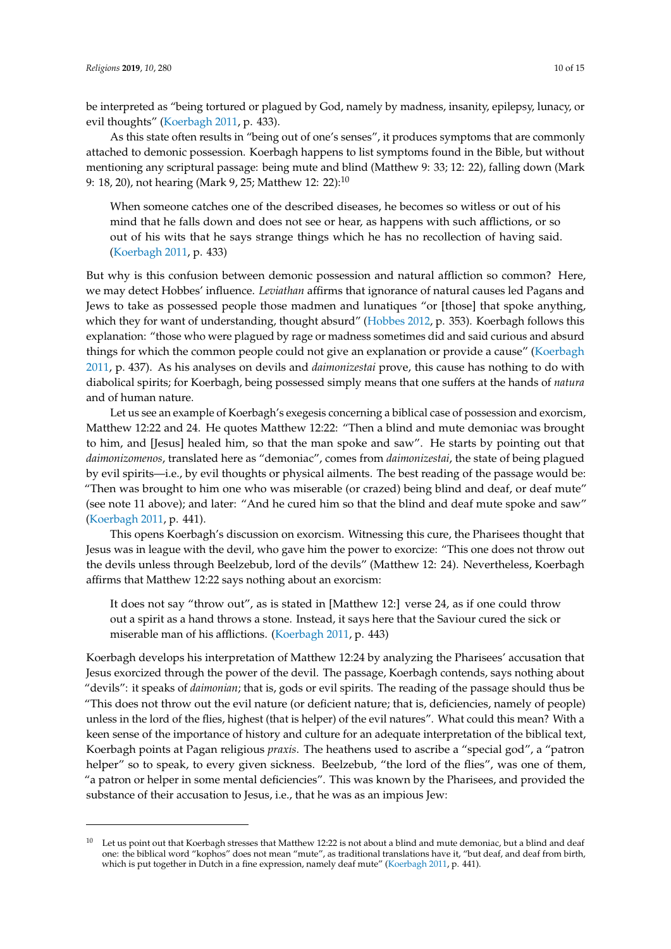be interpreted as "being tortured or plagued by God, namely by madness, insanity, epilepsy, lunacy, or evil thoughts" [\(Koerbagh](#page-13-18) [2011,](#page-13-18) p. 433).

As this state often results in "being out of one's senses", it produces symptoms that are commonly attached to demonic possession. Koerbagh happens to list symptoms found in the Bible, but without mentioning any scriptural passage: being mute and blind (Matthew 9: 33; 12: 22), falling down (Mark 9: 18, 20), not hearing (Mark 9, 25; Matthew 12: 22):<sup>10</sup>

When someone catches one of the described diseases, he becomes so witless or out of his mind that he falls down and does not see or hear, as happens with such afflictions, or so out of his wits that he says strange things which he has no recollection of having said. [\(Koerbagh](#page-13-18) [2011,](#page-13-18) p. 433)

But why is this confusion between demonic possession and natural affliction so common? Here, we may detect Hobbes' influence. *Leviathan* affirms that ignorance of natural causes led Pagans and Jews to take as possessed people those madmen and lunatiques "or [those] that spoke anything, which they for want of understanding, thought absurd" [\(Hobbes](#page-13-26) [2012,](#page-13-26) p. 353). Koerbagh follows this explanation: "those who were plagued by rage or madness sometimes did and said curious and absurd things for which the common people could not give an explanation or provide a cause" [\(Koerbagh](#page-13-18) [2011,](#page-13-18) p. 437). As his analyses on devils and *daimonizestai* prove, this cause has nothing to do with diabolical spirits; for Koerbagh, being possessed simply means that one suffers at the hands of *natura* and of human nature.

Let us see an example of Koerbagh's exegesis concerning a biblical case of possession and exorcism, Matthew 12:22 and 24. He quotes Matthew 12:22: "Then a blind and mute demoniac was brought to him, and [Jesus] healed him, so that the man spoke and saw". He starts by pointing out that *daimonizomenos*, translated here as "demoniac", comes from *daimonizestai*, the state of being plagued by evil spirits—i.e., by evil thoughts or physical ailments. The best reading of the passage would be: "Then was brought to him one who was miserable (or crazed) being blind and deaf, or deaf mute" (see note 11 above); and later: "And he cured him so that the blind and deaf mute spoke and saw" [\(Koerbagh](#page-13-18) [2011,](#page-13-18) p. 441).

This opens Koerbagh's discussion on exorcism. Witnessing this cure, the Pharisees thought that Jesus was in league with the devil, who gave him the power to exorcize: "This one does not throw out the devils unless through Beelzebub, lord of the devils" (Matthew 12: 24). Nevertheless, Koerbagh affirms that Matthew 12:22 says nothing about an exorcism:

It does not say "throw out", as is stated in [Matthew 12:] verse 24, as if one could throw out a spirit as a hand throws a stone. Instead, it says here that the Saviour cured the sick or miserable man of his afflictions. [\(Koerbagh](#page-13-18) [2011,](#page-13-18) p. 443)

Koerbagh develops his interpretation of Matthew 12:24 by analyzing the Pharisees' accusation that Jesus exorcized through the power of the devil. The passage, Koerbagh contends, says nothing about "devils": it speaks of *daimonian*; that is, gods or evil spirits. The reading of the passage should thus be "This does not throw out the evil nature (or deficient nature; that is, deficiencies, namely of people) unless in the lord of the flies, highest (that is helper) of the evil natures". What could this mean? With a keen sense of the importance of history and culture for an adequate interpretation of the biblical text, Koerbagh points at Pagan religious *praxis*. The heathens used to ascribe a "special god", a "patron helper" so to speak, to every given sickness. Beelzebub, "the lord of the flies", was one of them, "a patron or helper in some mental deficiencies". This was known by the Pharisees, and provided the substance of their accusation to Jesus, i.e., that he was as an impious Jew:

Let us point out that Koerbagh stresses that Matthew 12:22 is not about a blind and mute demoniac, but a blind and deaf one: the biblical word "kophos" does not mean "mute", as traditional translations have it, "but deaf, and deaf from birth, which is put together in Dutch in a fine expression, namely deaf mute" [\(Koerbagh](#page-13-18) [2011,](#page-13-18) p. 441).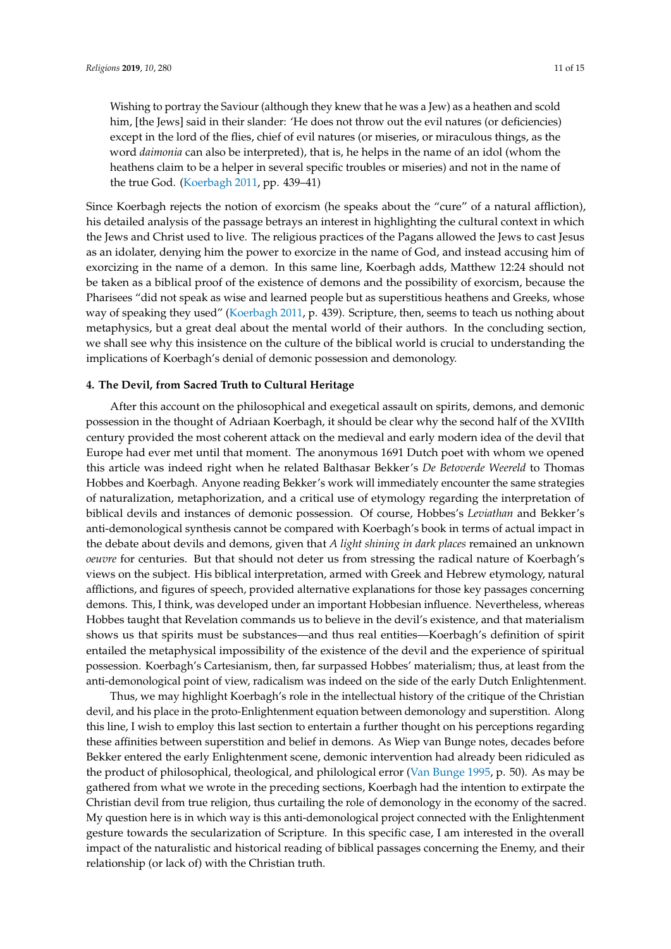Wishing to portray the Saviour (although they knew that he was a Jew) as a heathen and scold him, [the Jews] said in their slander: 'He does not throw out the evil natures (or deficiencies) except in the lord of the flies, chief of evil natures (or miseries, or miraculous things, as the word *daimonia* can also be interpreted), that is, he helps in the name of an idol (whom the heathens claim to be a helper in several specific troubles or miseries) and not in the name of the true God. [\(Koerbagh](#page-13-18) [2011,](#page-13-18) pp. 439–41)

Since Koerbagh rejects the notion of exorcism (he speaks about the "cure" of a natural affliction), his detailed analysis of the passage betrays an interest in highlighting the cultural context in which the Jews and Christ used to live. The religious practices of the Pagans allowed the Jews to cast Jesus as an idolater, denying him the power to exorcize in the name of God, and instead accusing him of exorcizing in the name of a demon. In this same line, Koerbagh adds, Matthew 12:24 should not be taken as a biblical proof of the existence of demons and the possibility of exorcism, because the Pharisees "did not speak as wise and learned people but as superstitious heathens and Greeks, whose way of speaking they used" [\(Koerbagh](#page-13-18) [2011,](#page-13-18) p. 439). Scripture, then, seems to teach us nothing about metaphysics, but a great deal about the mental world of their authors. In the concluding section, we shall see why this insistence on the culture of the biblical world is crucial to understanding the implications of Koerbagh's denial of demonic possession and demonology.

### **4. The Devil, from Sacred Truth to Cultural Heritage**

After this account on the philosophical and exegetical assault on spirits, demons, and demonic possession in the thought of Adriaan Koerbagh, it should be clear why the second half of the XVIIth century provided the most coherent attack on the medieval and early modern idea of the devil that Europe had ever met until that moment. The anonymous 1691 Dutch poet with whom we opened this article was indeed right when he related Balthasar Bekker's *De Betoverde Weereld* to Thomas Hobbes and Koerbagh. Anyone reading Bekker's work will immediately encounter the same strategies of naturalization, metaphorization, and a critical use of etymology regarding the interpretation of biblical devils and instances of demonic possession. Of course, Hobbes's *Leviathan* and Bekker's anti-demonological synthesis cannot be compared with Koerbagh's book in terms of actual impact in the debate about devils and demons, given that *A light shining in dark places* remained an unknown *oeuvre* for centuries. But that should not deter us from stressing the radical nature of Koerbagh's views on the subject. His biblical interpretation, armed with Greek and Hebrew etymology, natural afflictions, and figures of speech, provided alternative explanations for those key passages concerning demons. This, I think, was developed under an important Hobbesian influence. Nevertheless, whereas Hobbes taught that Revelation commands us to believe in the devil's existence, and that materialism shows us that spirits must be substances—and thus real entities—Koerbagh's definition of spirit entailed the metaphysical impossibility of the existence of the devil and the experience of spiritual possession. Koerbagh's Cartesianism, then, far surpassed Hobbes' materialism; thus, at least from the anti-demonological point of view, radicalism was indeed on the side of the early Dutch Enlightenment.

Thus, we may highlight Koerbagh's role in the intellectual history of the critique of the Christian devil, and his place in the proto-Enlightenment equation between demonology and superstition. Along this line, I wish to employ this last section to entertain a further thought on his perceptions regarding these affinities between superstition and belief in demons. As Wiep van Bunge notes, decades before Bekker entered the early Enlightenment scene, demonic intervention had already been ridiculed as the product of philosophical, theological, and philological error [\(Van Bunge](#page-14-11) [1995,](#page-14-11) p. 50). As may be gathered from what we wrote in the preceding sections, Koerbagh had the intention to extirpate the Christian devil from true religion, thus curtailing the role of demonology in the economy of the sacred. My question here is in which way is this anti-demonological project connected with the Enlightenment gesture towards the secularization of Scripture. In this specific case, I am interested in the overall impact of the naturalistic and historical reading of biblical passages concerning the Enemy, and their relationship (or lack of) with the Christian truth.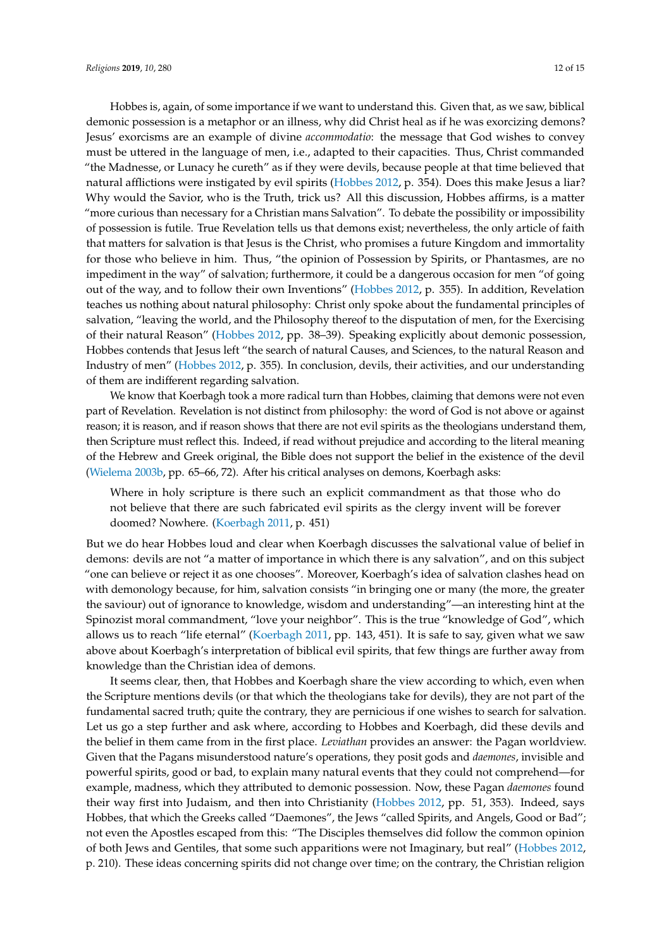Hobbes is, again, of some importance if we want to understand this. Given that, as we saw, biblical demonic possession is a metaphor or an illness, why did Christ heal as if he was exorcizing demons? Jesus' exorcisms are an example of divine *accommodatio*: the message that God wishes to convey must be uttered in the language of men, i.e., adapted to their capacities. Thus, Christ commanded "the Madnesse, or Lunacy he cureth" as if they were devils, because people at that time believed that natural afflictions were instigated by evil spirits [\(Hobbes](#page-13-26) [2012,](#page-13-26) p. 354). Does this make Jesus a liar? Why would the Savior, who is the Truth, trick us? All this discussion, Hobbes affirms, is a matter "more curious than necessary for a Christian mans Salvation". To debate the possibility or impossibility of possession is futile. True Revelation tells us that demons exist; nevertheless, the only article of faith that matters for salvation is that Jesus is the Christ, who promises a future Kingdom and immortality for those who believe in him. Thus, "the opinion of Possession by Spirits, or Phantasmes, are no impediment in the way" of salvation; furthermore, it could be a dangerous occasion for men "of going out of the way, and to follow their own Inventions" [\(Hobbes](#page-13-26) [2012,](#page-13-26) p. 355). In addition, Revelation teaches us nothing about natural philosophy: Christ only spoke about the fundamental principles of salvation, "leaving the world, and the Philosophy thereof to the disputation of men, for the Exercising of their natural Reason" [\(Hobbes](#page-13-26) [2012,](#page-13-26) pp. 38–39). Speaking explicitly about demonic possession, Hobbes contends that Jesus left "the search of natural Causes, and Sciences, to the natural Reason and Industry of men" [\(Hobbes](#page-13-26) [2012,](#page-13-26) p. 355). In conclusion, devils, their activities, and our understanding of them are indifferent regarding salvation.

We know that Koerbagh took a more radical turn than Hobbes, claiming that demons were not even part of Revelation. Revelation is not distinct from philosophy: the word of God is not above or against reason; it is reason, and if reason shows that there are not evil spirits as the theologians understand them, then Scripture must reflect this. Indeed, if read without prejudice and according to the literal meaning of the Hebrew and Greek original, the Bible does not support the belief in the existence of the devil [\(Wielema](#page-14-6) [2003b,](#page-14-6) pp. 65–66, 72). After his critical analyses on demons, Koerbagh asks:

Where in holy scripture is there such an explicit commandment as that those who do not believe that there are such fabricated evil spirits as the clergy invent will be forever doomed? Nowhere. [\(Koerbagh](#page-13-18) [2011,](#page-13-18) p. 451)

But we do hear Hobbes loud and clear when Koerbagh discusses the salvational value of belief in demons: devils are not "a matter of importance in which there is any salvation", and on this subject "one can believe or reject it as one chooses". Moreover, Koerbagh's idea of salvation clashes head on with demonology because, for him, salvation consists "in bringing one or many (the more, the greater the saviour) out of ignorance to knowledge, wisdom and understanding"—an interesting hint at the Spinozist moral commandment, "love your neighbor". This is the true "knowledge of God", which allows us to reach "life eternal" [\(Koerbagh](#page-13-18) [2011,](#page-13-18) pp. 143, 451). It is safe to say, given what we saw above about Koerbagh's interpretation of biblical evil spirits, that few things are further away from knowledge than the Christian idea of demons.

It seems clear, then, that Hobbes and Koerbagh share the view according to which, even when the Scripture mentions devils (or that which the theologians take for devils), they are not part of the fundamental sacred truth; quite the contrary, they are pernicious if one wishes to search for salvation. Let us go a step further and ask where, according to Hobbes and Koerbagh, did these devils and the belief in them came from in the first place. *Leviathan* provides an answer: the Pagan worldview. Given that the Pagans misunderstood nature's operations, they posit gods and *daemones*, invisible and powerful spirits, good or bad, to explain many natural events that they could not comprehend—for example, madness, which they attributed to demonic possession. Now, these Pagan *daemones* found their way first into Judaism, and then into Christianity [\(Hobbes](#page-13-26) [2012,](#page-13-26) pp. 51, 353). Indeed, says Hobbes, that which the Greeks called "Daemones", the Jews "called Spirits, and Angels, Good or Bad"; not even the Apostles escaped from this: "The Disciples themselves did follow the common opinion of both Jews and Gentiles, that some such apparitions were not Imaginary, but real" [\(Hobbes](#page-13-26) [2012,](#page-13-26) p. 210). These ideas concerning spirits did not change over time; on the contrary, the Christian religion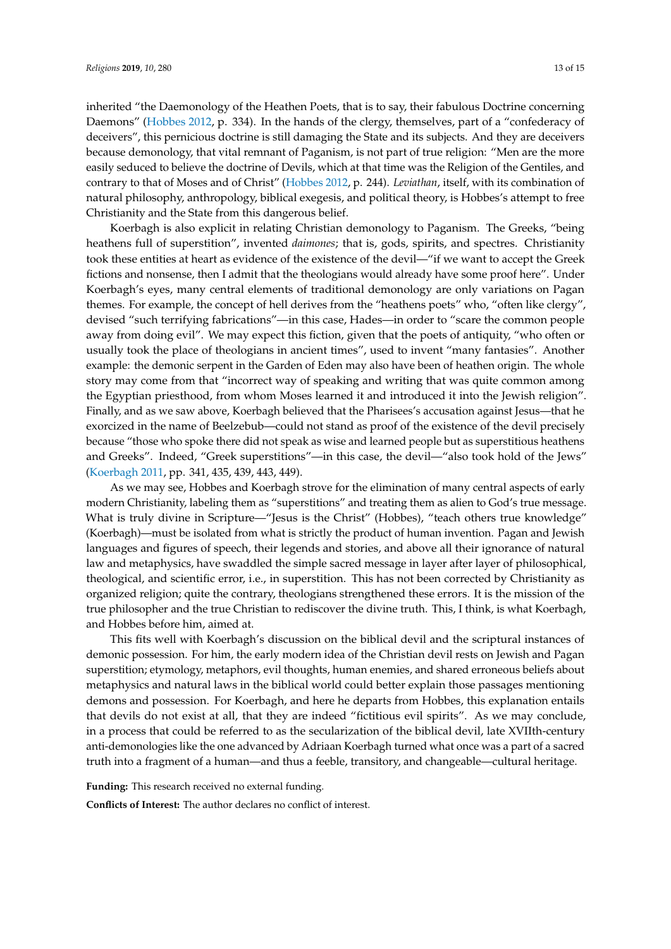inherited "the Daemonology of the Heathen Poets, that is to say, their fabulous Doctrine concerning Daemons" [\(Hobbes](#page-13-26) [2012,](#page-13-26) p. 334). In the hands of the clergy, themselves, part of a "confederacy of deceivers", this pernicious doctrine is still damaging the State and its subjects. And they are deceivers because demonology, that vital remnant of Paganism, is not part of true religion: "Men are the more easily seduced to believe the doctrine of Devils, which at that time was the Religion of the Gentiles, and contrary to that of Moses and of Christ" [\(Hobbes](#page-13-26) [2012,](#page-13-26) p. 244). *Leviathan*, itself, with its combination of natural philosophy, anthropology, biblical exegesis, and political theory, is Hobbes's attempt to free Christianity and the State from this dangerous belief.

Koerbagh is also explicit in relating Christian demonology to Paganism. The Greeks, "being heathens full of superstition", invented *daimones*; that is, gods, spirits, and spectres. Christianity took these entities at heart as evidence of the existence of the devil—"if we want to accept the Greek fictions and nonsense, then I admit that the theologians would already have some proof here". Under Koerbagh's eyes, many central elements of traditional demonology are only variations on Pagan themes. For example, the concept of hell derives from the "heathens poets" who, "often like clergy", devised "such terrifying fabrications"—in this case, Hades—in order to "scare the common people away from doing evil". We may expect this fiction, given that the poets of antiquity, "who often or usually took the place of theologians in ancient times", used to invent "many fantasies". Another example: the demonic serpent in the Garden of Eden may also have been of heathen origin. The whole story may come from that "incorrect way of speaking and writing that was quite common among the Egyptian priesthood, from whom Moses learned it and introduced it into the Jewish religion". Finally, and as we saw above, Koerbagh believed that the Pharisees's accusation against Jesus—that he exorcized in the name of Beelzebub—could not stand as proof of the existence of the devil precisely because "those who spoke there did not speak as wise and learned people but as superstitious heathens and Greeks". Indeed, "Greek superstitions"—in this case, the devil—"also took hold of the Jews" [\(Koerbagh](#page-13-18) [2011,](#page-13-18) pp. 341, 435, 439, 443, 449).

As we may see, Hobbes and Koerbagh strove for the elimination of many central aspects of early modern Christianity, labeling them as "superstitions" and treating them as alien to God's true message. What is truly divine in Scripture—"Jesus is the Christ" (Hobbes), "teach others true knowledge" (Koerbagh)—must be isolated from what is strictly the product of human invention. Pagan and Jewish languages and figures of speech, their legends and stories, and above all their ignorance of natural law and metaphysics, have swaddled the simple sacred message in layer after layer of philosophical, theological, and scientific error, i.e., in superstition. This has not been corrected by Christianity as organized religion; quite the contrary, theologians strengthened these errors. It is the mission of the true philosopher and the true Christian to rediscover the divine truth. This, I think, is what Koerbagh, and Hobbes before him, aimed at.

This fits well with Koerbagh's discussion on the biblical devil and the scriptural instances of demonic possession. For him, the early modern idea of the Christian devil rests on Jewish and Pagan superstition; etymology, metaphors, evil thoughts, human enemies, and shared erroneous beliefs about metaphysics and natural laws in the biblical world could better explain those passages mentioning demons and possession. For Koerbagh, and here he departs from Hobbes, this explanation entails that devils do not exist at all, that they are indeed "fictitious evil spirits". As we may conclude, in a process that could be referred to as the secularization of the biblical devil, late XVIIth-century anti-demonologies like the one advanced by Adriaan Koerbagh turned what once was a part of a sacred truth into a fragment of a human—and thus a feeble, transitory, and changeable—cultural heritage.

**Funding:** This research received no external funding.

**Conflicts of Interest:** The author declares no conflict of interest.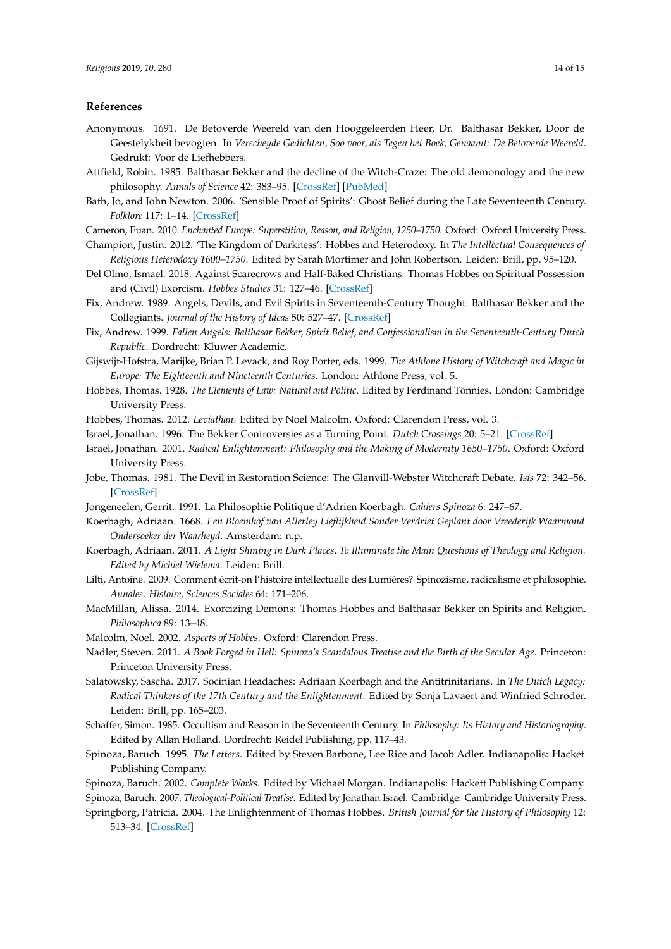## **References**

- <span id="page-13-5"></span>Anonymous. 1691. De Betoverde Weereld van den Hooggeleerden Heer, Dr. Balthasar Bekker, Door de Geestelykheit bevogten. In *Verscheyde Gedichten, Soo voor, als Tegen het Boek, Genaamt: De Betoverde Weereld*. Gedrukt: Voor de Liefhebbers.
- <span id="page-13-3"></span>Attfield, Robin. 1985. Balthasar Bekker and the decline of the Witch-Craze: The old demonology and the new philosophy. *Annals of Science* 42: 383–95. [\[CrossRef\]](http://dx.doi.org/10.1080/00033798500200421) [\[PubMed\]](http://www.ncbi.nlm.nih.gov/pubmed/11620703)
- <span id="page-13-12"></span>Bath, Jo, and John Newton. 2006. 'Sensible Proof of Spirits': Ghost Belief during the Late Seventeenth Century. *Folklore* 117: 1–14. [\[CrossRef\]](http://dx.doi.org/10.1080/00155870500479851)
- <span id="page-13-4"></span>Cameron, Euan. 2010. *Enchanted Europe: Superstition, Reason, and Religion, 1250–1750*. Oxford: Oxford University Press.
- <span id="page-13-24"></span>Champion, Justin. 2012. 'The Kingdom of Darkness': Hobbes and Heterodoxy. In *The Intellectual Consequences of Religious Heterodoxy 1600–1750*. Edited by Sarah Mortimer and John Robertson. Leiden: Brill, pp. 95–120.
- <span id="page-13-10"></span>Del Olmo, Ismael. 2018. Against Scarecrows and Half-Baked Christians: Thomas Hobbes on Spiritual Possession and (Civil) Exorcism. *Hobbes Studies* 31: 127–46. [\[CrossRef\]](http://dx.doi.org/10.1163/18750257-03102001)
- <span id="page-13-2"></span>Fix, Andrew. 1989. Angels, Devils, and Evil Spirits in Seventeenth-Century Thought: Balthasar Bekker and the Collegiants. *Journal of the History of Ideas* 50: 527–47. [\[CrossRef\]](http://dx.doi.org/10.2307/2709796)
- <span id="page-13-0"></span>Fix, Andrew. 1999. *Fallen Angels: Balthasar Bekker, Spirit Belief, and Confessionalism in the Seventeenth-Century Dutch Republic*. Dordrecht: Kluwer Academic.
- <span id="page-13-20"></span>Gijswijt-Hofstra, Marijke, Brian P. Levack, and Roy Porter, eds. 1999. *The Athlone History of Witchcraft and Magic in Europe: The Eighteenth and Nineteenth Centuries*. London: Athlone Press, vol. 5.
- <span id="page-13-6"></span>Hobbes, Thomas. 1928. *The Elements of Law: Natural and Politic*. Edited by Ferdinand Tönnies. London: Cambridge University Press.
- <span id="page-13-26"></span><span id="page-13-1"></span>Hobbes, Thomas. 2012. *Leviathan*. Edited by Noel Malcolm. Oxford: Clarendon Press, vol. 3.
- Israel, Jonathan. 1996. The Bekker Controversies as a Turning Point. *Dutch Crossings* 20: 5–21. [\[CrossRef\]](http://dx.doi.org/10.1080/03096564.1996.11784062)
- <span id="page-13-16"></span>Israel, Jonathan. 2001. *Radical Enlightenment: Philosophy and the Making of Modernity 1650–1750*. Oxford: Oxford University Press.
- <span id="page-13-14"></span>Jobe, Thomas. 1981. The Devil in Restoration Science: The Glanvill-Webster Witchcraft Debate. *Isis* 72: 342–56. [\[CrossRef\]](http://dx.doi.org/10.1086/352786)
- <span id="page-13-22"></span><span id="page-13-17"></span>Jongeneelen, Gerrit. 1991. La Philosophie Politique d'Adrien Koerbagh. *Cahiers Spinoza* 6: 247–67.
- Koerbagh, Adriaan. 1668. *Een Bloemhof van Allerley Lieflijkheid Sonder Verdriet Geplant door Vreederijk Waarmond Ondersoeker der Waarheyd*. Amsterdam: n.p.
- <span id="page-13-18"></span>Koerbagh, Adriaan. 2011. *A Light Shining in Dark Places, To Illuminate the Main Questions of Theology and Religion. Edited by Michiel Wielema*. Leiden: Brill.
- <span id="page-13-21"></span>Lilti, Antoine. 2009. Comment écrit-on l'histoire intellectuelle des Lumières? Spinozisme, radicalisme et philosophie. *Annales. Histoire, Sciences Sociales* 64: 171–206.
- <span id="page-13-11"></span>MacMillan, Alissa. 2014. Exorcizing Demons: Thomas Hobbes and Balthasar Bekker on Spirits and Religion. *Philosophica* 89: 13–48.
- <span id="page-13-23"></span>Malcolm, Noel. 2002. *Aspects of Hobbes*. Oxford: Clarendon Press.
- <span id="page-13-19"></span>Nadler, Steven. 2011. *A Book Forged in Hell: Spinoza's Scandalous Treatise and the Birth of the Secular Age*. Princeton: Princeton University Press.
- <span id="page-13-15"></span>Salatowsky, Sascha. 2017. Socinian Headaches: Adriaan Koerbagh and the Antitrinitarians. In *The Dutch Legacy: Radical Thinkers of the 17th Century and the Enlightenment*. Edited by Sonja Lavaert and Winfried Schröder. Leiden: Brill, pp. 165–203.
- <span id="page-13-13"></span>Schaffer, Simon. 1985. Occultism and Reason in the Seventeenth Century. In *Philosophy: Its History and Historiography*. Edited by Allan Holland. Dordrecht: Reidel Publishing, pp. 117–43.
- <span id="page-13-9"></span>Spinoza, Baruch. 1995. *The Letters*. Edited by Steven Barbone, Lee Rice and Jacob Adler. Indianapolis: Hacket Publishing Company.
- <span id="page-13-8"></span><span id="page-13-7"></span>Spinoza, Baruch. 2002. *Complete Works*. Edited by Michael Morgan. Indianapolis: Hackett Publishing Company. Spinoza, Baruch. 2007. *Theological-Political Treatise*. Edited by Jonathan Israel. Cambridge: Cambridge University Press.
- <span id="page-13-25"></span>Springborg, Patricia. 2004. The Enlightenment of Thomas Hobbes. *British Journal for the History of Philosophy* 12: 513–34. [\[CrossRef\]](http://dx.doi.org/10.1080/0960878042000253141)